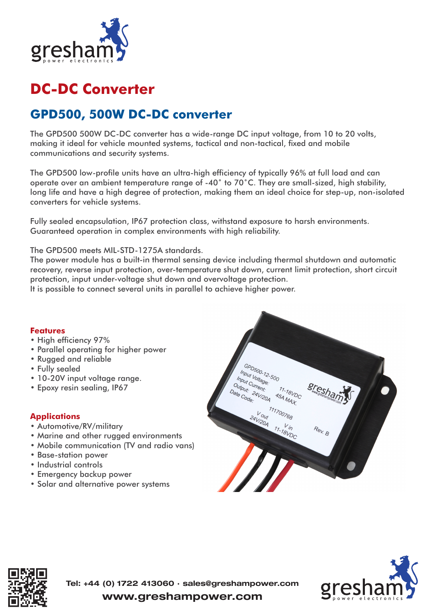

## **DC-DC Converter**

## **GPD500, 500W DC-DC converter**

The GPD500 500W DC-DC converter has a wide-range DC input voltage, from 10 to 20 volts, making it ideal for vehicle mounted systems, tactical and non-tactical, fixed and mobile communications and security systems.

The GPD500 low-profile units have an ultra-high efficiency of typically 96% at full load and can operate over an ambient temperature range of -40° to 70°C. They are small-sized, high stability, long life and have a high degree of protection, making them an ideal choice for step-up, non-isolated converters for vehicle systems.

Fully sealed encapsulation, IP67 protection class, withstand exposure to harsh environments. Guaranteed operation in complex environments with high reliability.

The GPD500 meets MIL-STD-1275A standards.

The power module has a built-in thermal sensing device including thermal shutdown and automatic recovery, reverse input protection, over-temperature shut down, current limit protection, short circuit protection, input under-voltage shut down and overvoltage protection.

It is possible to connect several units in parallel to achieve higher power.

## **Features**

- High efficiency 97%
- Parallel operating for higher power
- Rugged and reliable
- Fully sealed
- 10-20V input voltage range.
- Epoxy resin sealing, IP67

## **Applications**

- Automotive/RV/military
- Marine and other rugged environments
- Mobile communication (TV and radio vans)
- Base-station power
- Industrial controls
- Emergency backup power
- Solar and alternative power systems







www.greshampower.com